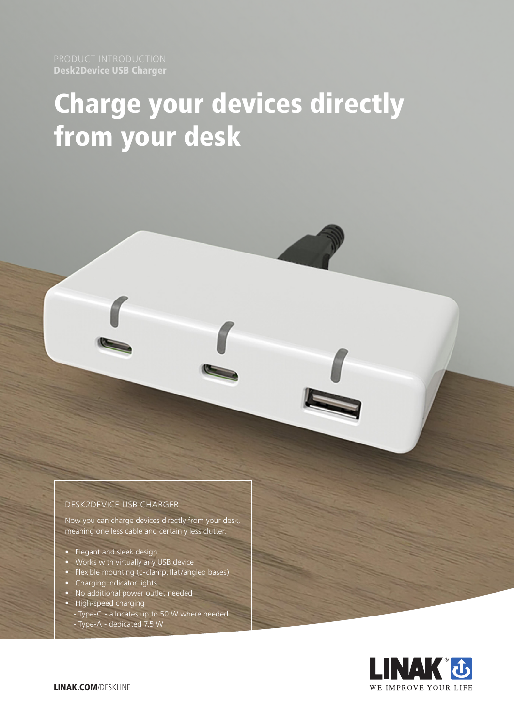Desk2Device USB Charger

# Charge your devices directly from your desk

### DESK2DEVICE USB CHARGER

Now you can charge devices directly from your desk, meaning one less cable and certainly less clutter.

- Elegant and sleek design
- Works with virtually any USB device
- Flexible mounting (c-clamp, flat/angled bases)
- Charging indicator lights
- No additional power outlet needed
- High-speed charging
- Type-C allocates up to 50 W where needed - Type-A - dedicated 7.5 W